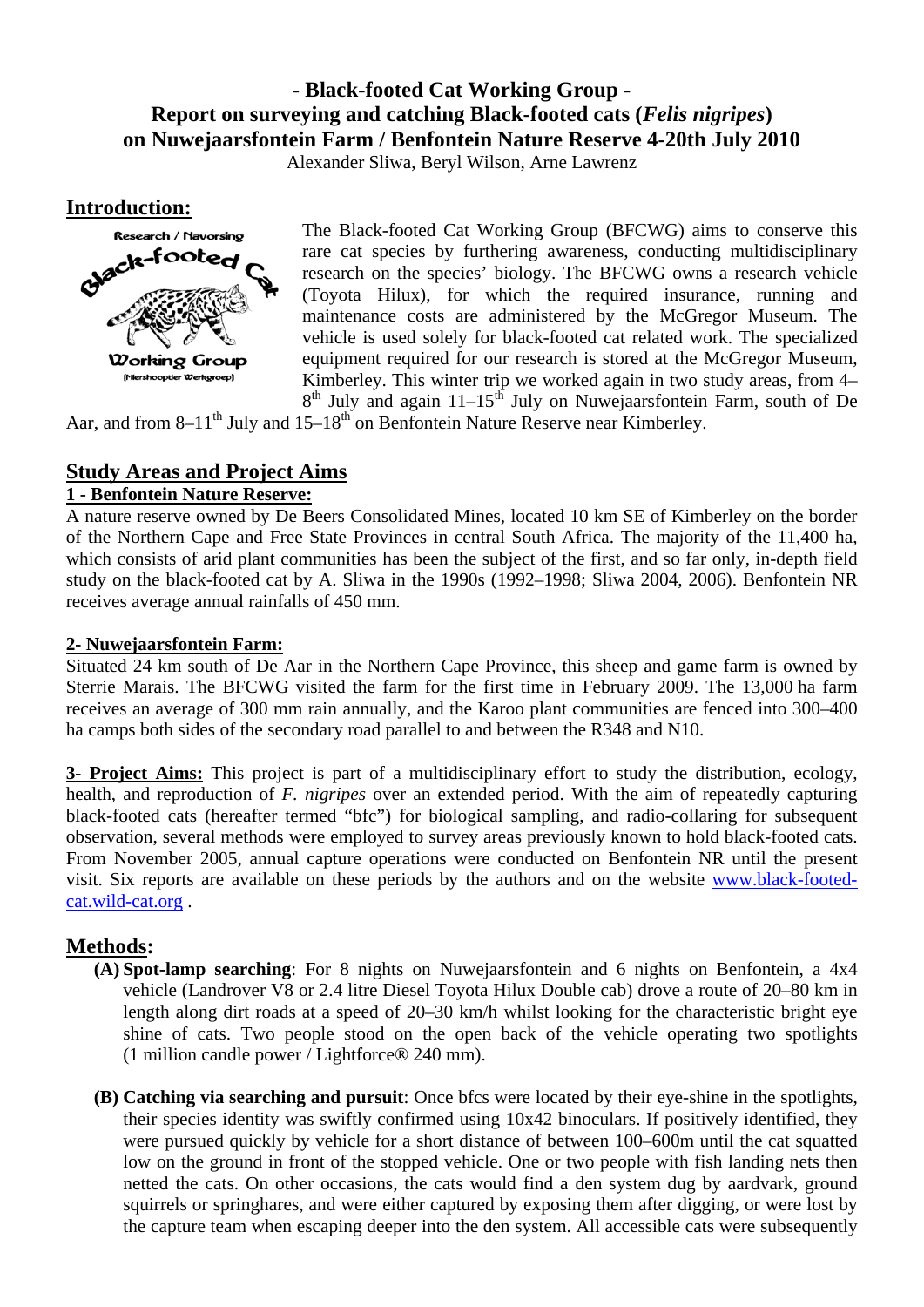# **- Black-footed Cat Working Group - Report on surveying and catching Black-footed cats (***Felis nigripes***) on Nuwejaarsfontein Farm / Benfontein Nature Reserve 4-20th July 2010**

Alexander Sliwa, Beryl Wilson, Arne Lawrenz

**Introduction:**



The Black-footed Cat Working Group (BFCWG) aims to conserve this rare cat species by furthering awareness, conducting multidisciplinary research on the species' biology. The BFCWG owns a research vehicle (Toyota Hilux), for which the required insurance, running and maintenance costs are administered by the McGregor Museum. The vehicle is used solely for black-footed cat related work. The specialized equipment required for our research is stored at the McGregor Museum, Kimberley. This winter trip we worked again in two study areas, from 4–  $8<sup>th</sup>$  July and again 11–15<sup>th</sup> July on Nuwejaarsfontein Farm, south of De

Aar, and from 8–11<sup>th</sup> July and 15–18<sup>th</sup> on Benfontein Nature Reserve near Kimberley.

# **Study Areas and Project Aims**

### **1 - Benfontein Nature Reserve:**

A nature reserve owned by De Beers Consolidated Mines, located 10 km SE of Kimberley on the border of the Northern Cape and Free State Provinces in central South Africa. The majority of the 11,400 ha, which consists of arid plant communities has been the subject of the first, and so far only, in-depth field study on the black-footed cat by A. Sliwa in the 1990s (1992–1998; Sliwa 2004, 2006). Benfontein NR receives average annual rainfalls of 450 mm.

## **2- Nuwejaarsfontein Farm:**

Situated 24 km south of De Aar in the Northern Cape Province, this sheep and game farm is owned by Sterrie Marais. The BFCWG visited the farm for the first time in February 2009. The 13,000 ha farm receives an average of 300 mm rain annually, and the Karoo plant communities are fenced into 300–400 ha camps both sides of the secondary road parallel to and between the R348 and N10.

**3- Project Aims:** This project is part of a multidisciplinary effort to study the distribution, ecology, health, and reproduction of *F. nigripes* over an extended period. With the aim of repeatedly capturing black-footed cats (hereafter termed "bfc") for biological sampling, and radio-collaring for subsequent observation, several methods were employed to survey areas previously known to hold black-footed cats. From November 2005, annual capture operations were conducted on Benfontein NR until the present visit. Six reports are available on these periods by the authors and on the website [www.black-footed](http://www.black-footed-cat.wild-cat.org/)[cat.wild-cat.org](http://www.black-footed-cat.wild-cat.org/) .

# **Methods:**

- **(A) Spot-lamp searching**: For 8 nights on Nuwejaarsfontein and 6 nights on Benfontein, a 4x4 vehicle (Landrover V8 or 2.4 litre Diesel Toyota Hilux Double cab) drove a route of 20–80 km in length along dirt roads at a speed of 20–30 km/h whilst looking for the characteristic bright eye shine of cats. Two people stood on the open back of the vehicle operating two spotlights (1 million candle power / Lightforce® 240 mm).
- **(B) Catching via searching and pursuit**: Once bfcs were located by their eye-shine in the spotlights, their species identity was swiftly confirmed using 10x42 binoculars. If positively identified, they were pursued quickly by vehicle for a short distance of between 100–600m until the cat squatted low on the ground in front of the stopped vehicle. One or two people with fish landing nets then netted the cats. On other occasions, the cats would find a den system dug by aardvark, ground squirrels or springhares, and were either captured by exposing them after digging, or were lost by the capture team when escaping deeper into the den system. All accessible cats were subsequently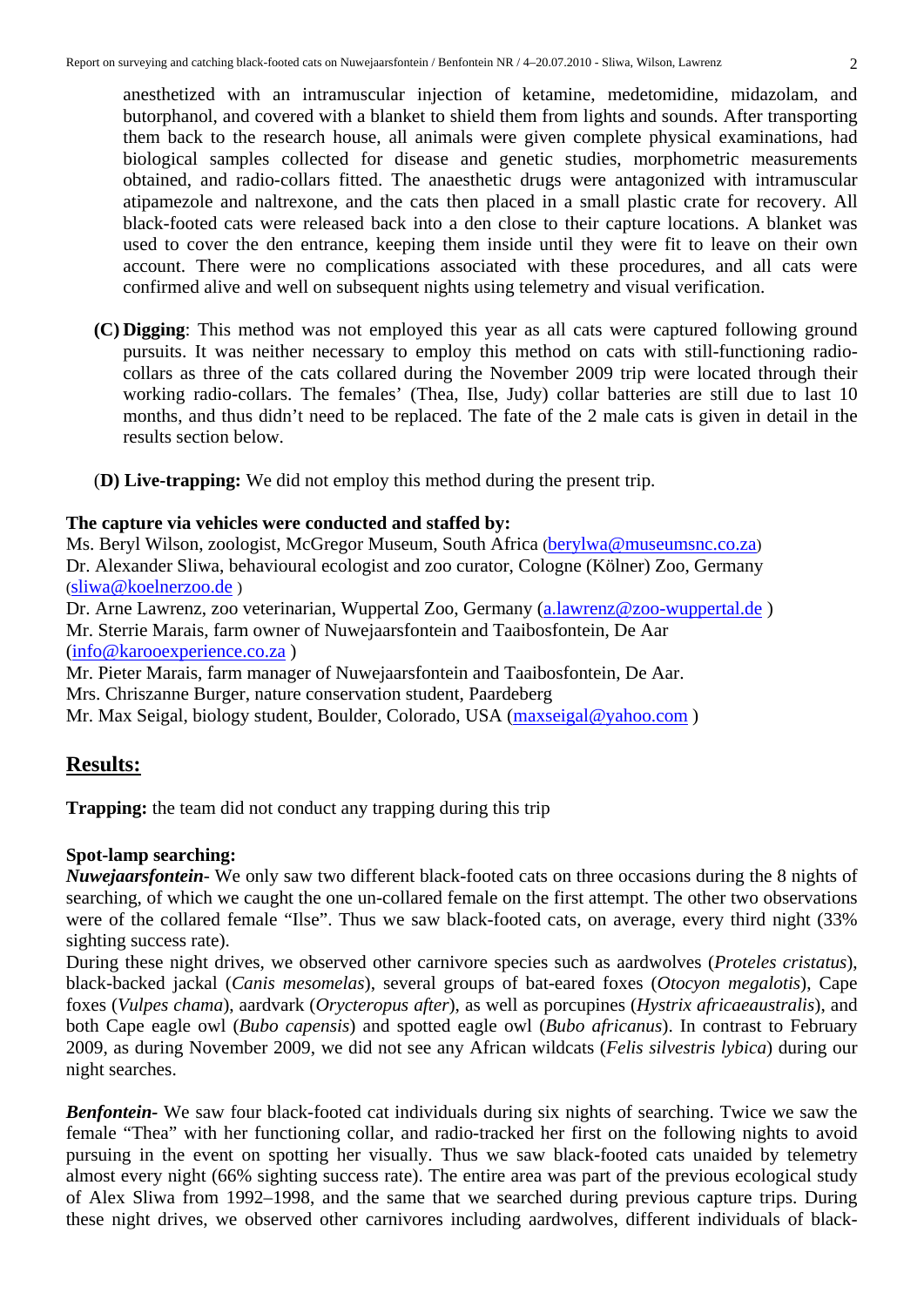anesthetized with an intramuscular injection of ketamine, medetomidine, midazolam, and butorphanol, and covered with a blanket to shield them from lights and sounds. After transporting them back to the research house, all animals were given complete physical examinations, had biological samples collected for disease and genetic studies, morphometric measurements obtained, and radio-collars fitted. The anaesthetic drugs were antagonized with intramuscular atipamezole and naltrexone, and the cats then placed in a small plastic crate for recovery. All black-footed cats were released back into a den close to their capture locations. A blanket was used to cover the den entrance, keeping them inside until they were fit to leave on their own account. There were no complications associated with these procedures, and all cats were confirmed alive and well on subsequent nights using telemetry and visual verification.

- **(C) Digging**: This method was not employed this year as all cats were captured following ground pursuits. It was neither necessary to employ this method on cats with still-functioning radiocollars as three of the cats collared during the November 2009 trip were located through their working radio-collars. The females' (Thea, Ilse, Judy) collar batteries are still due to last 10 months, and thus didn't need to be replaced. The fate of the 2 male cats is given in detail in the results section below.
- (**D) Live-trapping:** We did not employ this method during the present trip.

## **The capture via vehicles were conducted and staffed by:**

Ms. Beryl Wilson, zoologist, McGregor Museum, South Africa [\(berylwa@museumsnc.co.za\)](mailto:berylwa@museumsnc.co.za) Dr. Alexander Sliwa, behavioural ecologist and zoo curator, Cologne (Kölner) Zoo, Germany ([sliwa@koelnerzoo.de](mailto:sliwa@koelnerzoo.de) )

Dr. Arne Lawrenz, zoo veterinarian, Wuppertal Zoo, Germany [\(a.lawrenz@zoo-wuppertal.de](mailto:a.lawrenz@zoo-wuppertal.de) ) Mr. Sterrie Marais, farm owner of Nuwejaarsfontein and Taaibosfontein, De Aar ([info@karooexperience.co.za](mailto:info@karooexperience.co.za) )

Mr. Pieter Marais, farm manager of Nuwejaarsfontein and Taaibosfontein, De Aar. Mrs. Chriszanne Burger, nature conservation student, Paardeberg Mr. Max Seigal, biology student, Boulder, Colorado, USA (maxseigal@yahoo.com)

# **Results:**

**Trapping:** the team did not conduct any trapping during this trip

# **Spot-lamp searching:**

*Nuwejaarsfontein*- We only saw two different black-footed cats on three occasions during the 8 nights of searching, of which we caught the one un-collared female on the first attempt. The other two observations were of the collared female "Ilse". Thus we saw black-footed cats, on average, every third night (33% sighting success rate).

During these night drives, we observed other carnivore species such as aardwolves (*Proteles cristatus*), black-backed jackal (*Canis mesomelas*), several groups of bat-eared foxes (*Otocyon megalotis*), Cape foxes (*Vulpes chama*), aardvark (*Orycteropus after*), as well as porcupines (*Hystrix africaeaustralis*), and both Cape eagle owl (*Bubo capensis*) and spotted eagle owl (*Bubo africanus*). In contrast to February 2009, as during November 2009, we did not see any African wildcats (*Felis silvestris lybica*) during our night searches.

*Benfontein-* We saw four black-footed cat individuals during six nights of searching. Twice we saw the female "Thea" with her functioning collar, and radio-tracked her first on the following nights to avoid pursuing in the event on spotting her visually. Thus we saw black-footed cats unaided by telemetry almost every night (66% sighting success rate). The entire area was part of the previous ecological study of Alex Sliwa from 1992–1998, and the same that we searched during previous capture trips. During these night drives, we observed other carnivores including aardwolves, different individuals of black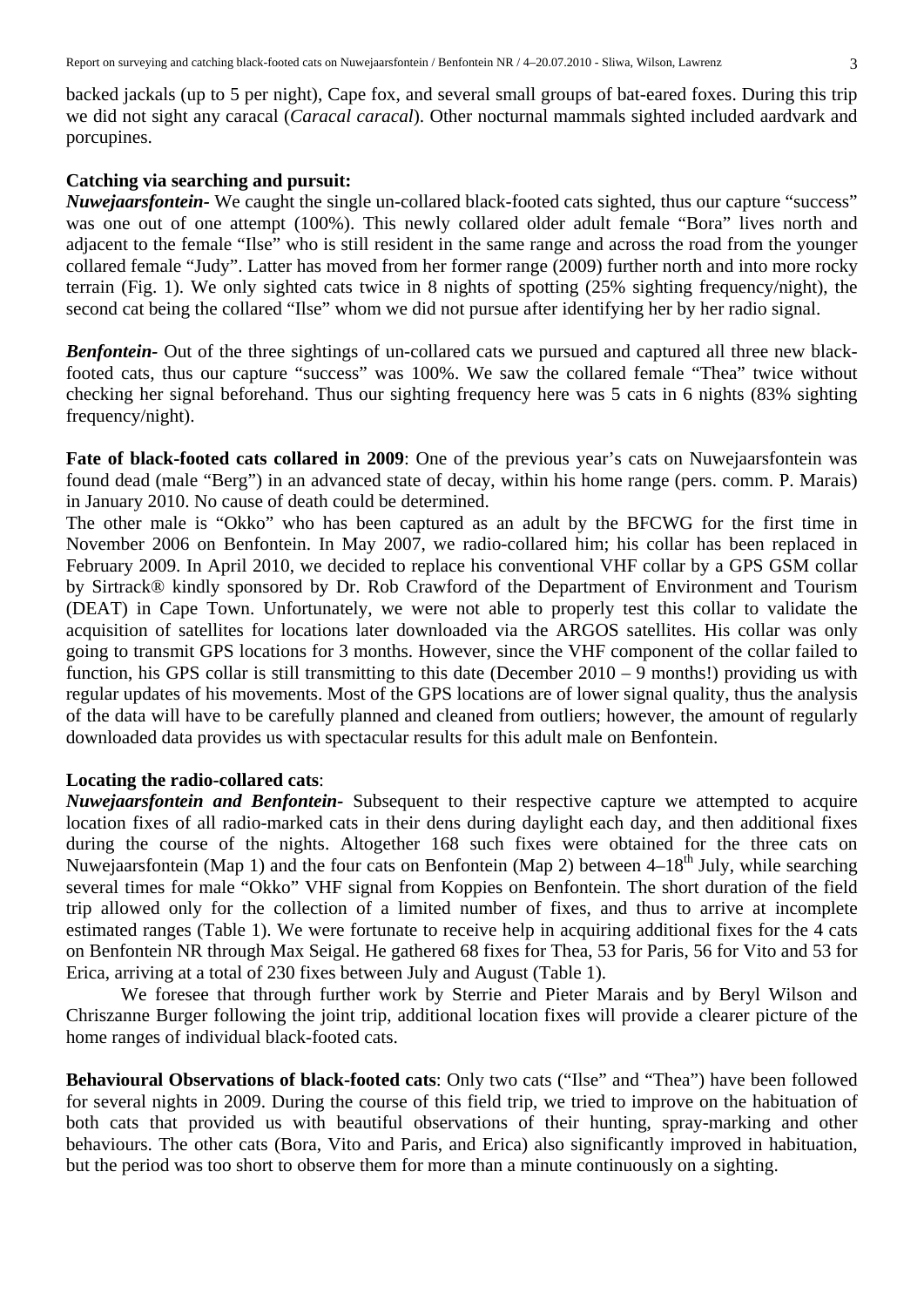backed jackals (up to 5 per night), Cape fox, and several small groups of bat-eared foxes. During this trip we did not sight any caracal (*Caracal caracal*). Other nocturnal mammals sighted included aardvark and porcupines.

#### **Catching via searching and pursuit:**

*Nuwejaarsfontein-* We caught the single un-collared black-footed cats sighted, thus our capture "success" was one out of one attempt (100%). This newly collared older adult female "Bora" lives north and adjacent to the female "Ilse" who is still resident in the same range and across the road from the younger collared female "Judy". Latter has moved from her former range (2009) further north and into more rocky terrain (Fig. 1). We only sighted cats twice in 8 nights of spotting (25% sighting frequency/night), the second cat being the collared "Ilse" whom we did not pursue after identifying her by her radio signal.

*Benfontein*- Out of the three sightings of un-collared cats we pursued and captured all three new blackfooted cats, thus our capture "success" was 100%. We saw the collared female "Thea" twice without checking her signal beforehand. Thus our sighting frequency here was 5 cats in 6 nights (83% sighting frequency/night).

**Fate of black-footed cats collared in 2009**: One of the previous year's cats on Nuwejaarsfontein was found dead (male "Berg") in an advanced state of decay, within his home range (pers. comm. P. Marais) in January 2010. No cause of death could be determined.

The other male is "Okko" who has been captured as an adult by the BFCWG for the first time in November 2006 on Benfontein. In May 2007, we radio-collared him; his collar has been replaced in February 2009. In April 2010, we decided to replace his conventional VHF collar by a GPS GSM collar by Sirtrack® kindly sponsored by Dr. Rob Crawford of the Department of Environment and Tourism (DEAT) in Cape Town. Unfortunately, we were not able to properly test this collar to validate the acquisition of satellites for locations later downloaded via the ARGOS satellites. His collar was only going to transmit GPS locations for 3 months. However, since the VHF component of the collar failed to function, his GPS collar is still transmitting to this date (December 2010 – 9 months!) providing us with regular updates of his movements. Most of the GPS locations are of lower signal quality, thus the analysis of the data will have to be carefully planned and cleaned from outliers; however, the amount of regularly downloaded data provides us with spectacular results for this adult male on Benfontein.

#### **Locating the radio-collared cats**:

*Nuwejaarsfontein and Benfontein-* Subsequent to their respective capture we attempted to acquire location fixes of all radio-marked cats in their dens during daylight each day, and then additional fixes during the course of the nights. Altogether 168 such fixes were obtained for the three cats on Nuwejaarsfontein (Map 1) and the four cats on Benfontein (Map 2) between  $4-18<sup>th</sup>$  July, while searching several times for male "Okko" VHF signal from Koppies on Benfontein. The short duration of the field trip allowed only for the collection of a limited number of fixes, and thus to arrive at incomplete estimated ranges (Table 1). We were fortunate to receive help in acquiring additional fixes for the 4 cats on Benfontein NR through Max Seigal. He gathered 68 fixes for Thea, 53 for Paris, 56 for Vito and 53 for Erica, arriving at a total of 230 fixes between July and August (Table 1).

We foresee that through further work by Sterrie and Pieter Marais and by Beryl Wilson and Chriszanne Burger following the joint trip, additional location fixes will provide a clearer picture of the home ranges of individual black-footed cats.

**Behavioural Observations of black-footed cats**: Only two cats ("Ilse" and "Thea") have been followed for several nights in 2009. During the course of this field trip, we tried to improve on the habituation of both cats that provided us with beautiful observations of their hunting, spray-marking and other behaviours. The other cats (Bora, Vito and Paris, and Erica) also significantly improved in habituation, but the period was too short to observe them for more than a minute continuously on a sighting.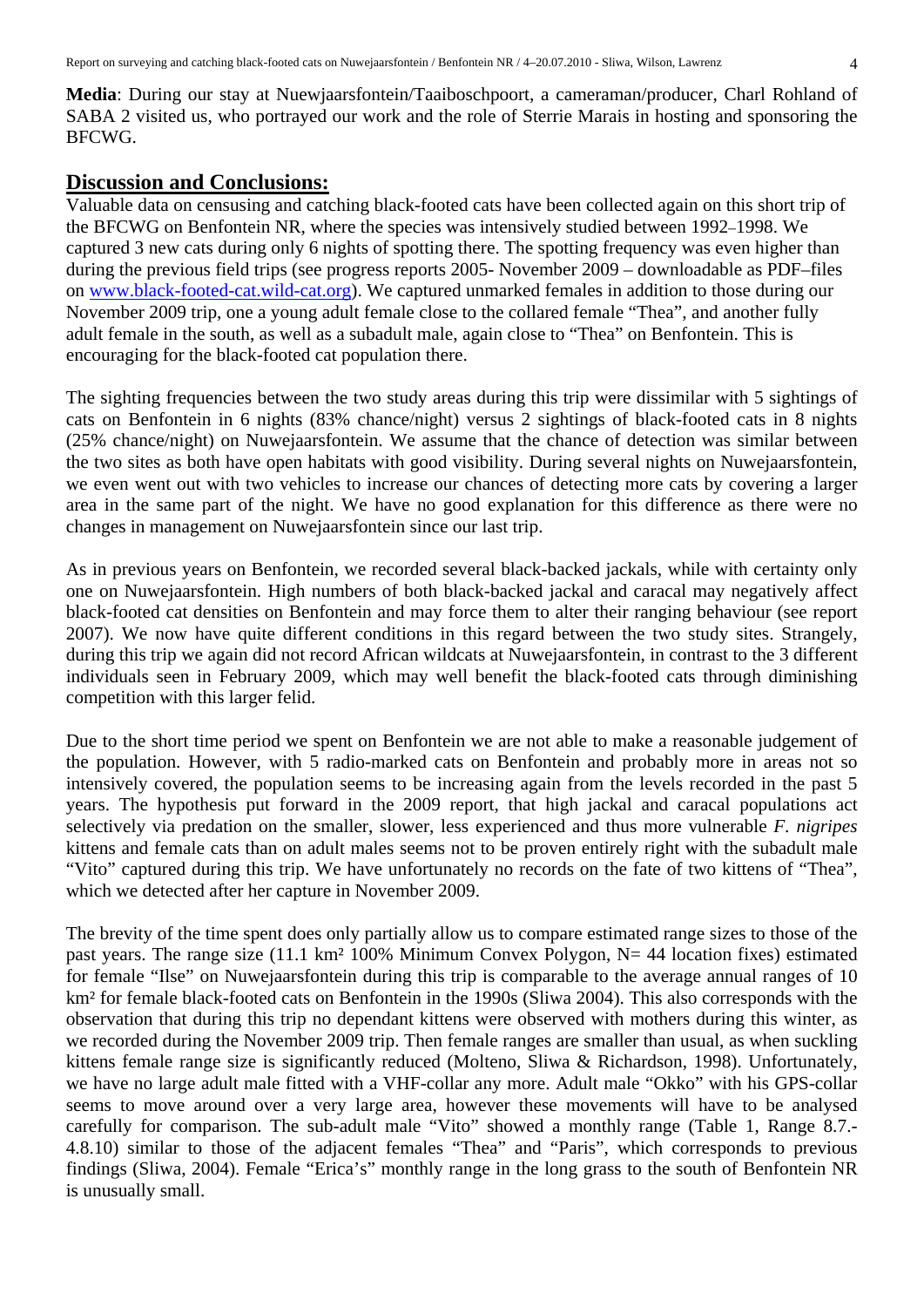**Media**: During our stay at Nuewjaarsfontein/Taaiboschpoort, a cameraman/producer, Charl Rohland of SABA 2 visited us, who portrayed our work and the role of Sterrie Marais in hosting and sponsoring the BFCWG.

### **Discussion and Conclusions:**

Valuable data on censusing and catching black-footed cats have been collected again on this short trip of the BFCWG on Benfontein NR, where the species was intensively studied between 1992–1998. We captured 3 new cats during only 6 nights of spotting there. The spotting frequency was even higher than during the previous field trips (see progress reports 2005- November 2009 – downloadable as PDF–files on [www.black-footed-cat.wild-cat.org](http://www.black-footed-cat.wild-cat.org/)). We captured unmarked females in addition to those during our November 2009 trip, one a young adult female close to the collared female "Thea", and another fully adult female in the south, as well as a subadult male, again close to "Thea" on Benfontein. This is encouraging for the black-footed cat population there.

The sighting frequencies between the two study areas during this trip were dissimilar with 5 sightings of cats on Benfontein in 6 nights (83% chance/night) versus 2 sightings of black-footed cats in 8 nights (25% chance/night) on Nuwejaarsfontein. We assume that the chance of detection was similar between the two sites as both have open habitats with good visibility. During several nights on Nuwejaarsfontein, we even went out with two vehicles to increase our chances of detecting more cats by covering a larger area in the same part of the night. We have no good explanation for this difference as there were no changes in management on Nuwejaarsfontein since our last trip.

As in previous years on Benfontein, we recorded several black-backed jackals, while with certainty only one on Nuwejaarsfontein. High numbers of both black-backed jackal and caracal may negatively affect black-footed cat densities on Benfontein and may force them to alter their ranging behaviour (see report 2007). We now have quite different conditions in this regard between the two study sites. Strangely, during this trip we again did not record African wildcats at Nuwejaarsfontein, in contrast to the 3 different individuals seen in February 2009, which may well benefit the black-footed cats through diminishing competition with this larger felid.

Due to the short time period we spent on Benfontein we are not able to make a reasonable judgement of the population. However, with 5 radio-marked cats on Benfontein and probably more in areas not so intensively covered, the population seems to be increasing again from the levels recorded in the past 5 years. The hypothesis put forward in the 2009 report, that high jackal and caracal populations act selectively via predation on the smaller, slower, less experienced and thus more vulnerable *F. nigripes* kittens and female cats than on adult males seems not to be proven entirely right with the subadult male "Vito" captured during this trip. We have unfortunately no records on the fate of two kittens of "Thea", which we detected after her capture in November 2009.

The brevity of the time spent does only partially allow us to compare estimated range sizes to those of the past years. The range size (11.1 km² 100% Minimum Convex Polygon, N= 44 location fixes) estimated for female "Ilse" on Nuwejaarsfontein during this trip is comparable to the average annual ranges of 10 km² for female black-footed cats on Benfontein in the 1990s (Sliwa 2004). This also corresponds with the observation that during this trip no dependant kittens were observed with mothers during this winter, as we recorded during the November 2009 trip. Then female ranges are smaller than usual, as when suckling kittens female range size is significantly reduced (Molteno, Sliwa & Richardson, 1998). Unfortunately, we have no large adult male fitted with a VHF-collar any more. Adult male "Okko" with his GPS-collar seems to move around over a very large area, however these movements will have to be analysed carefully for comparison. The sub-adult male "Vito" showed a monthly range (Table 1, Range 8.7.- 4.8.10) similar to those of the adjacent females "Thea" and "Paris", which corresponds to previous findings (Sliwa, 2004). Female "Erica's" monthly range in the long grass to the south of Benfontein NR is unusually small.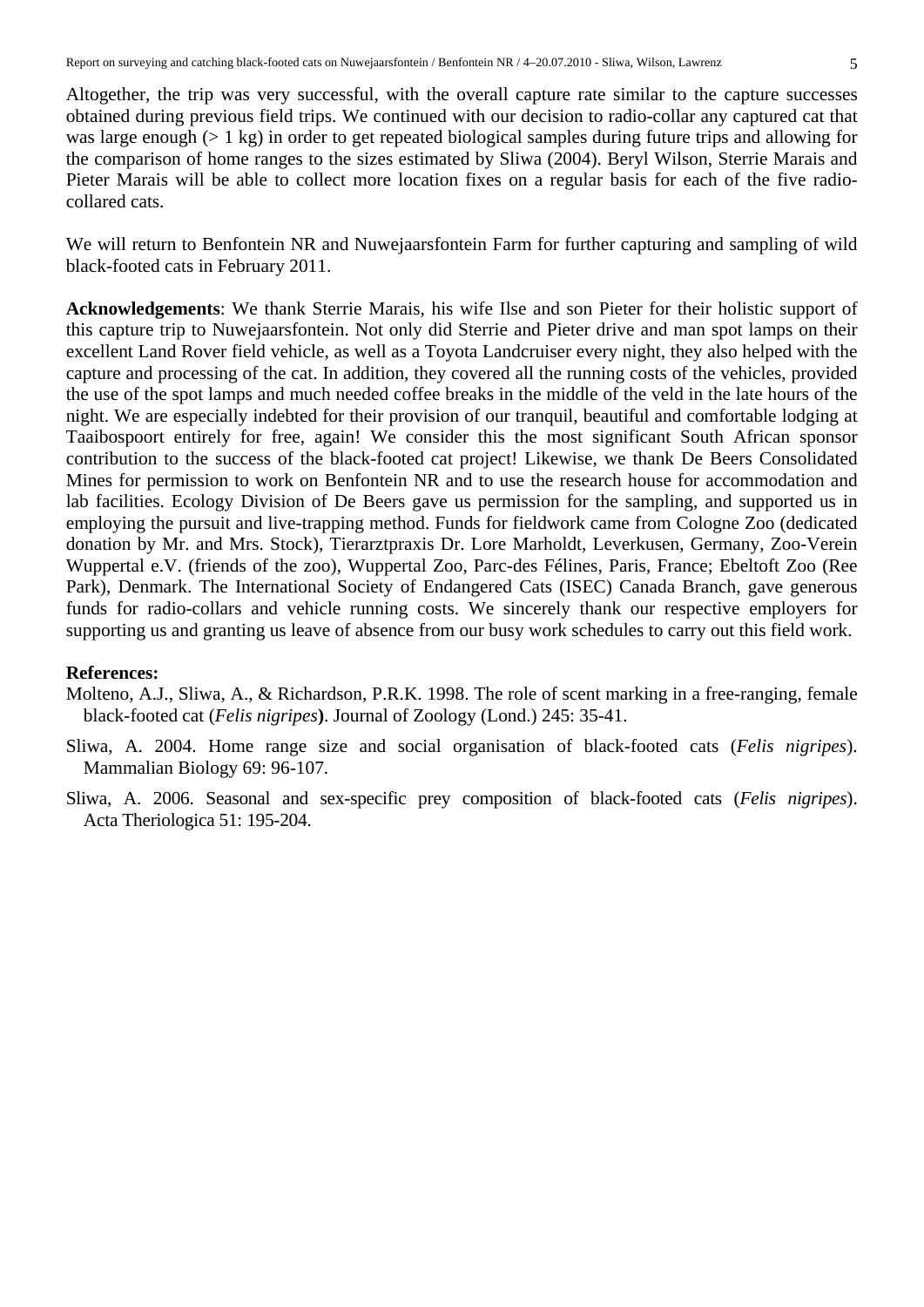Altogether, the trip was very successful, with the overall capture rate similar to the capture successes obtained during previous field trips. We continued with our decision to radio-collar any captured cat that was large enough (> 1 kg) in order to get repeated biological samples during future trips and allowing for the comparison of home ranges to the sizes estimated by Sliwa (2004). Beryl Wilson, Sterrie Marais and Pieter Marais will be able to collect more location fixes on a regular basis for each of the five radiocollared cats.

We will return to Benfontein NR and Nuwejaarsfontein Farm for further capturing and sampling of wild black-footed cats in February 2011.

**Acknowledgements**: We thank Sterrie Marais, his wife Ilse and son Pieter for their holistic support of this capture trip to Nuwejaarsfontein. Not only did Sterrie and Pieter drive and man spot lamps on their excellent Land Rover field vehicle, as well as a Toyota Landcruiser every night, they also helped with the capture and processing of the cat. In addition, they covered all the running costs of the vehicles, provided the use of the spot lamps and much needed coffee breaks in the middle of the veld in the late hours of the night. We are especially indebted for their provision of our tranquil, beautiful and comfortable lodging at Taaibospoort entirely for free, again! We consider this the most significant South African sponsor contribution to the success of the black-footed cat project! Likewise, we thank De Beers Consolidated Mines for permission to work on Benfontein NR and to use the research house for accommodation and lab facilities. Ecology Division of De Beers gave us permission for the sampling, and supported us in employing the pursuit and live-trapping method. Funds for fieldwork came from Cologne Zoo (dedicated donation by Mr. and Mrs. Stock), Tierarztpraxis Dr. Lore Marholdt, Leverkusen, Germany, Zoo-Verein Wuppertal e.V. (friends of the zoo), Wuppertal Zoo, Parc-des Félines, Paris, France; Ebeltoft Zoo (Ree Park), Denmark. The International Society of Endangered Cats (ISEC) Canada Branch, gave generous funds for radio-collars and vehicle running costs. We sincerely thank our respective employers for supporting us and granting us leave of absence from our busy work schedules to carry out this field work.

### **References:**

- Molteno, A.J., Sliwa, A., & Richardson, P.R.K. 1998. The role of scent marking in a free-ranging, female black-footed cat (*Felis nigripes***)**. Journal of Zoology (Lond.) 245: 35-41.
- Sliwa, A. 2004. Home range size and social organisation of black-footed cats (*Felis nigripes*). Mammalian Biology 69: 96-107.
- Sliwa, A. 2006. Seasonal and sex-specific prey composition of black-footed cats (*Felis nigripes*). Acta Theriologica 51: 195-204.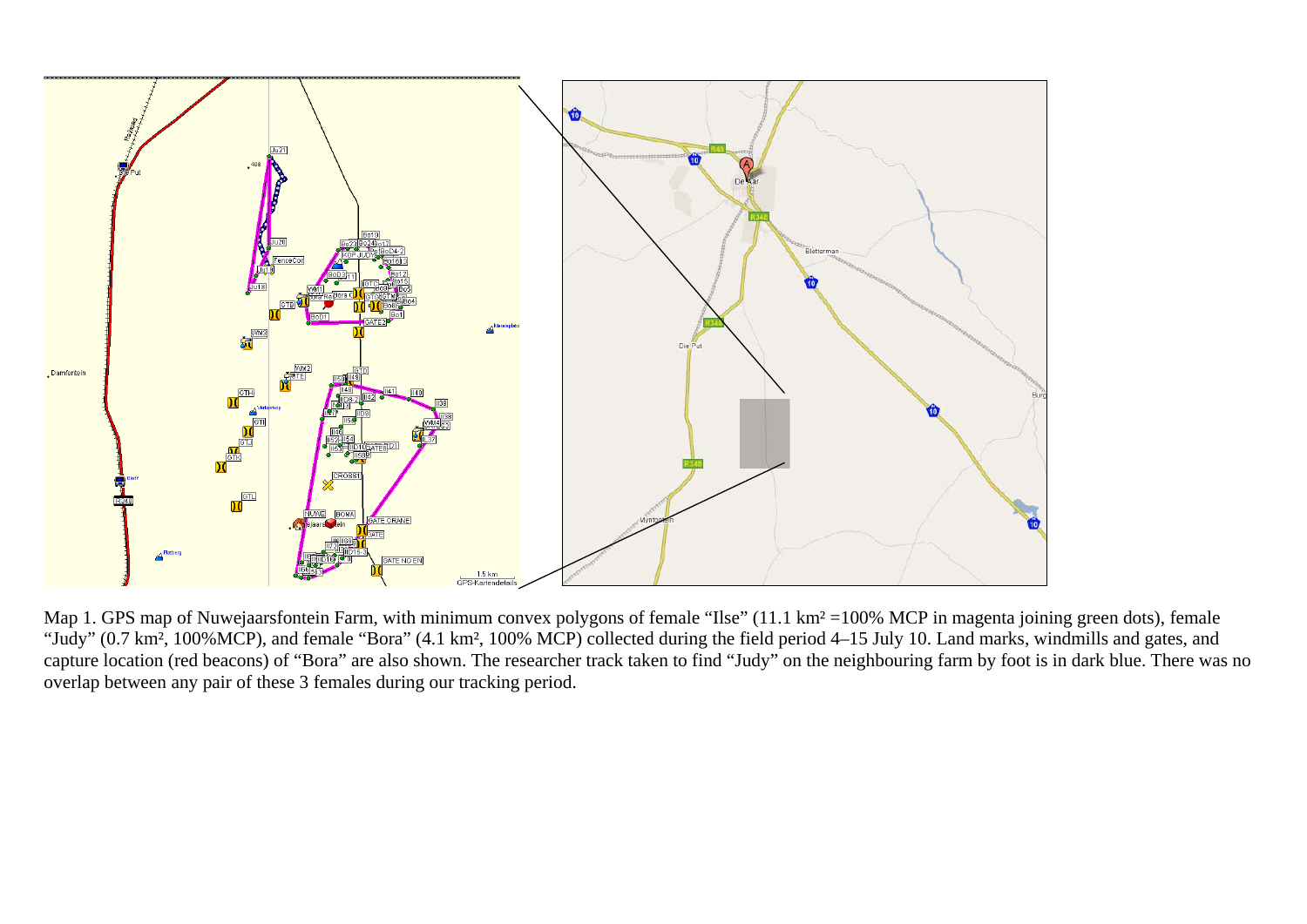

Map 1. GPS map of Nuwejaarsfontein Farm, with minimum convex polygons of female "Ilse" (11.1 km<sup>2</sup> =100% MCP in magenta joining green dots), female "Judy" (0.7 km², 100%MCP), and female "Bora" (4.1 km², 100% MCP) collected during the field period 4–15 July 10. Land marks, windmills and gates, and capture location (red beacons) of "Bora" are also shown. The researcher track taken to find "Judy" on the neighbouring farm by foot is in dark blue. There was no overlap between any pair of these 3 females during our tracking period.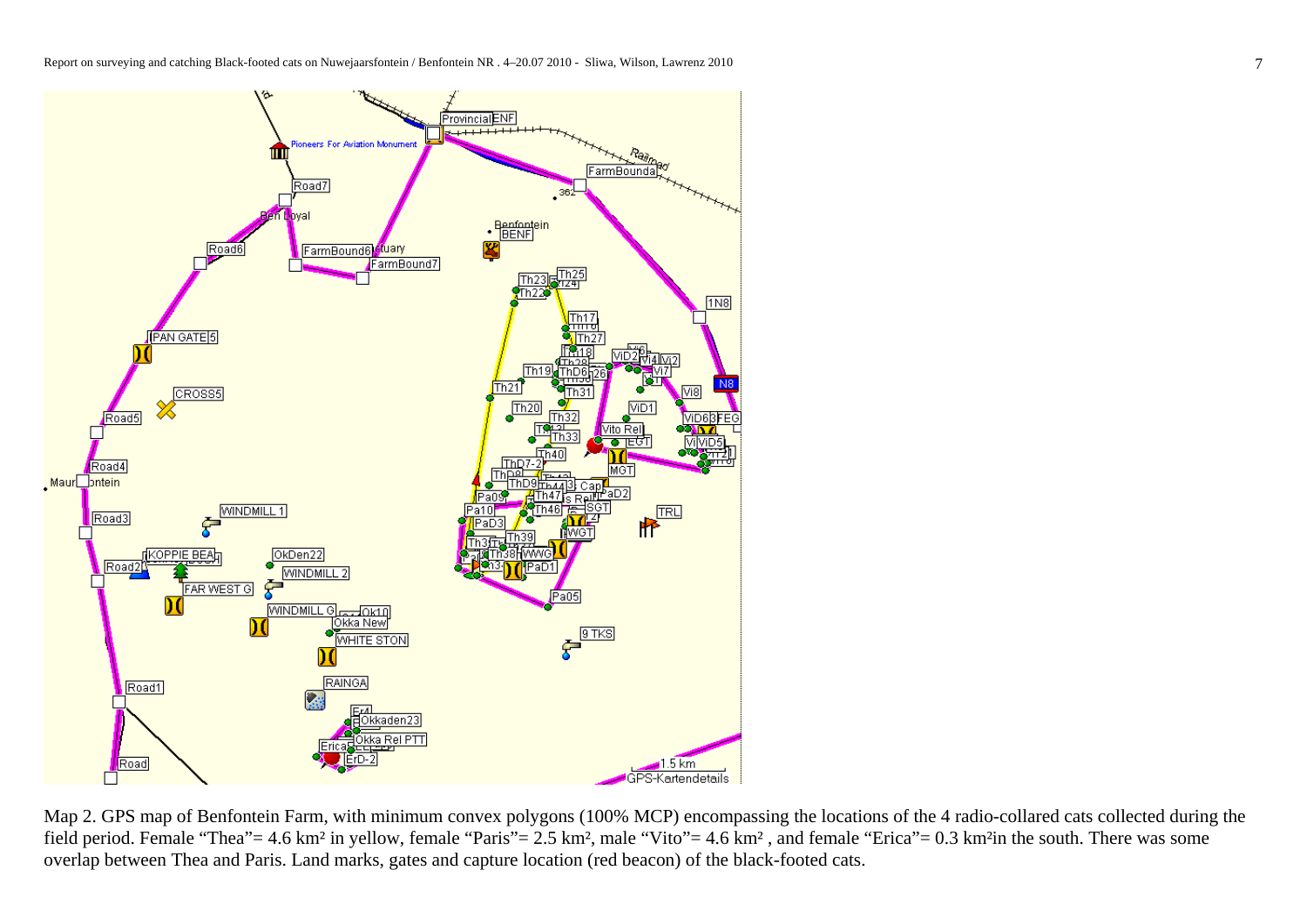

Map 2. GPS map of Benfontein Farm, with minimum convex polygons (100% MCP) encompassing the locations of the 4 radio-collared cats collected during the field period. Female "Thea"= 4.6 km² in yellow, female "Paris"= 2.5 km², male "Vito"= 4.6 km² , and female "Erica"= 0.3 km²in the south. There was some overlap between Thea and Paris. Land marks, gates and capture location (red beacon) of the black-footed cats.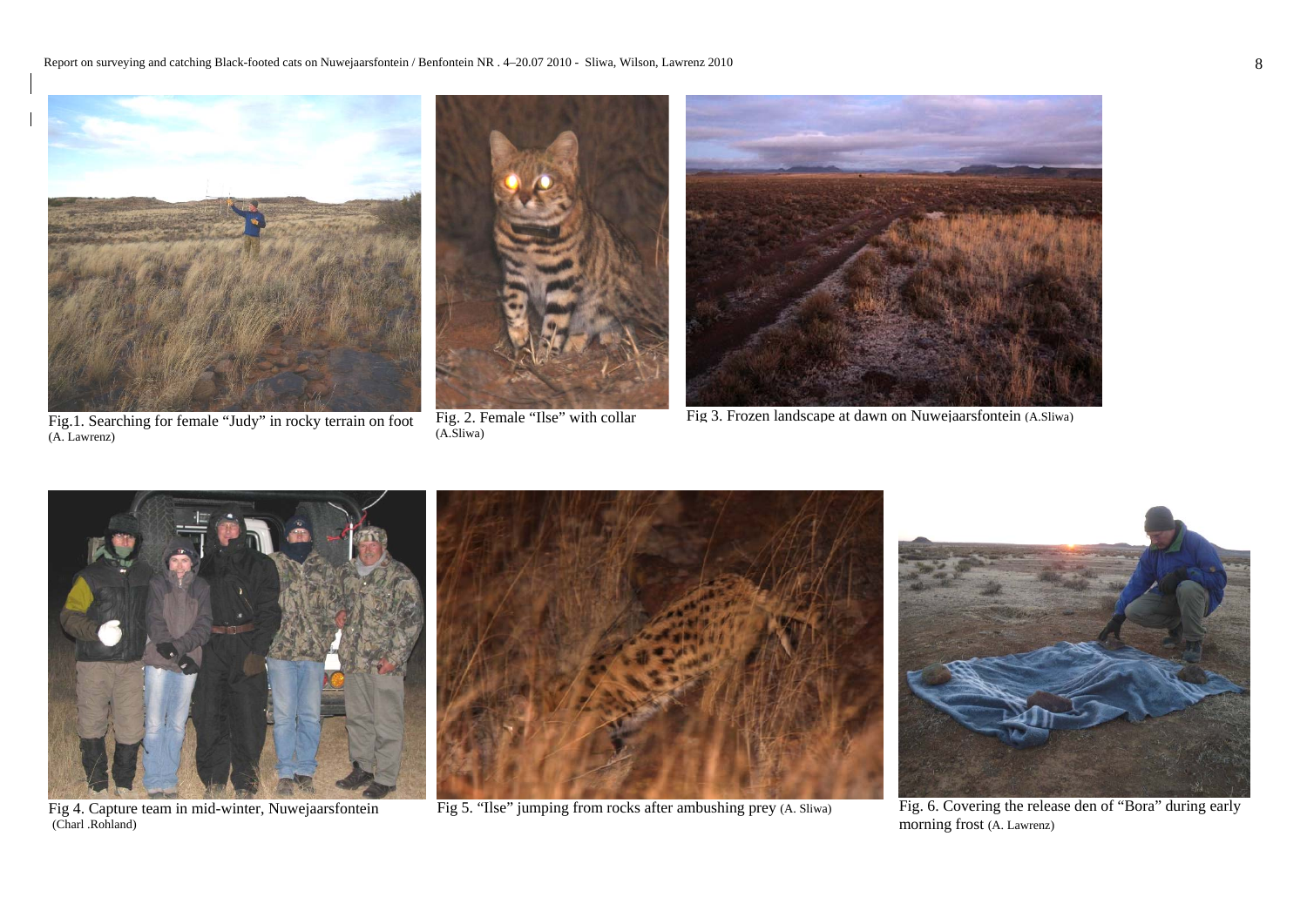

Fig.1. Searching for female "Judy" in rocky terrain on foot (A. Lawrenz)

Fig 4. Capture team in mid-winter, Nuwejaarsfontein

(Charl .Rohland)

Fig. 2. Female "Ilse" with collar (A.Sliwa)

Fig 3. Frozen landscape at dawn on Nuwejaarsfontein (A.Sliwa)



Fig 5. "Ilse" jumping from rocks after ambushing prey (A. Sliwa)

Fig. 6. Covering the release den of "Bora" during early morning frost (A. Lawrenz)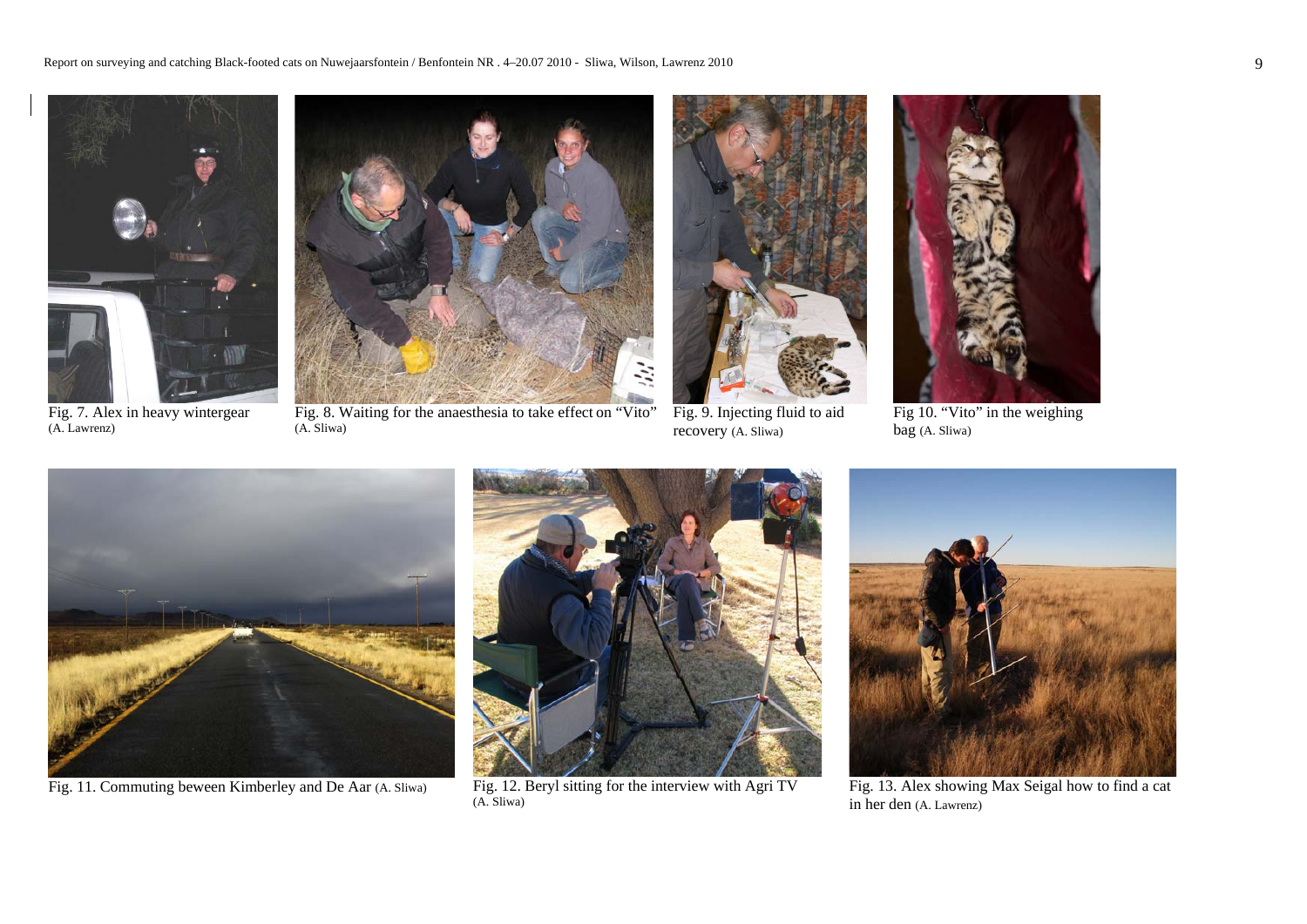

Fig. 7. Alex in heavy wintergear (A. Lawrenz)



Fig. 8. Waiting for the anaesthesia to take effect on "Vito" (A. Sliwa)



Fig. 9. Injecting fluid to aid recovery (A. Sliwa)



Fig 10. "Vito" in the weighing bag (A. Sliwa)



Fig. 11. Commuting beween Kimberley and De Aar (A. Sliwa)



Fig. 12. Beryl sitting for the interview with Agri TV (A. Sliwa)



Fig. 13. Alex showing Max Seigal how to find a cat in her den (A. Lawrenz)